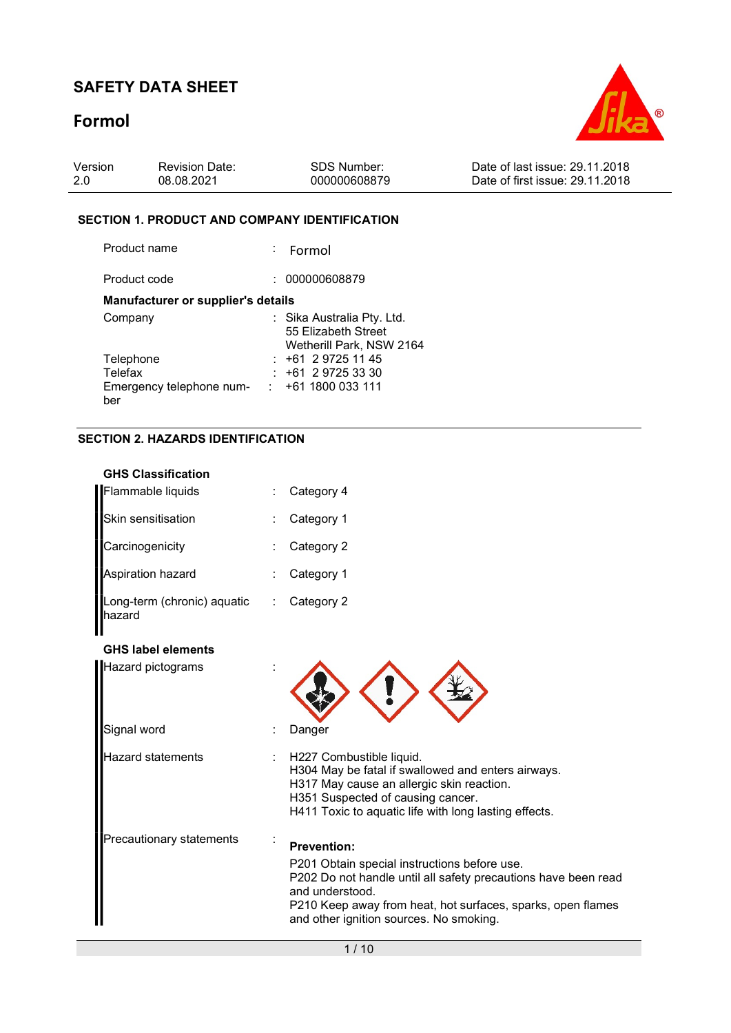# Formol



| Version | <b>Revision Date:</b> | SDS Number:  | Date of last issue: 29.11.2018  |
|---------|-----------------------|--------------|---------------------------------|
| 2.0     | 08.08.2021            | 000000608879 | Date of first issue: 29.11.2018 |

#### SECTION 1. PRODUCT AND COMPANY IDENTIFICATION

| Product name                              | : Formol                                        |
|-------------------------------------------|-------------------------------------------------|
| Product code                              | 000000608879                                    |
| <b>Manufacturer or supplier's details</b> |                                                 |
| Company                                   | : Sika Australia Pty. Ltd.                      |
|                                           | 55 Elizabeth Street<br>Wetherill Park, NSW 2164 |
| Telephone                                 | $: +61297251145$                                |
| Telefax                                   | $+61$ 2 9725 33 30                              |
| Emergency telephone num-                  | $\div$ +61 1800 033 111                         |
| ber                                       |                                                 |

#### SECTION 2. HAZARDS IDENTIFICATION

| <b>GHS Classification</b>             |                                                                                                                                                                                                                                                                   |
|---------------------------------------|-------------------------------------------------------------------------------------------------------------------------------------------------------------------------------------------------------------------------------------------------------------------|
| Flammable liquids                     | Category 4                                                                                                                                                                                                                                                        |
| Skin sensitisation                    | Category 1                                                                                                                                                                                                                                                        |
| Carcinogenicity                       | Category 2                                                                                                                                                                                                                                                        |
| Aspiration hazard                     | Category 1                                                                                                                                                                                                                                                        |
| Long-term (chronic) aquatic<br>hazard | Category 2                                                                                                                                                                                                                                                        |
| <b>GHS label elements</b>             |                                                                                                                                                                                                                                                                   |
| <b>Hazard pictograms</b>              |                                                                                                                                                                                                                                                                   |
| Signal word                           | Danger                                                                                                                                                                                                                                                            |
| Hazard statements                     | H227 Combustible liquid.<br>H304 May be fatal if swallowed and enters airways.<br>H317 May cause an allergic skin reaction.<br>H351 Suspected of causing cancer.<br>H411 Toxic to aquatic life with long lasting effects.                                         |
| Precautionary statements              | <b>Prevention:</b><br>P201 Obtain special instructions before use.<br>P202 Do not handle until all safety precautions have been read<br>and understood.<br>P210 Keep away from heat, hot surfaces, sparks, open flames<br>and other ignition sources. No smoking. |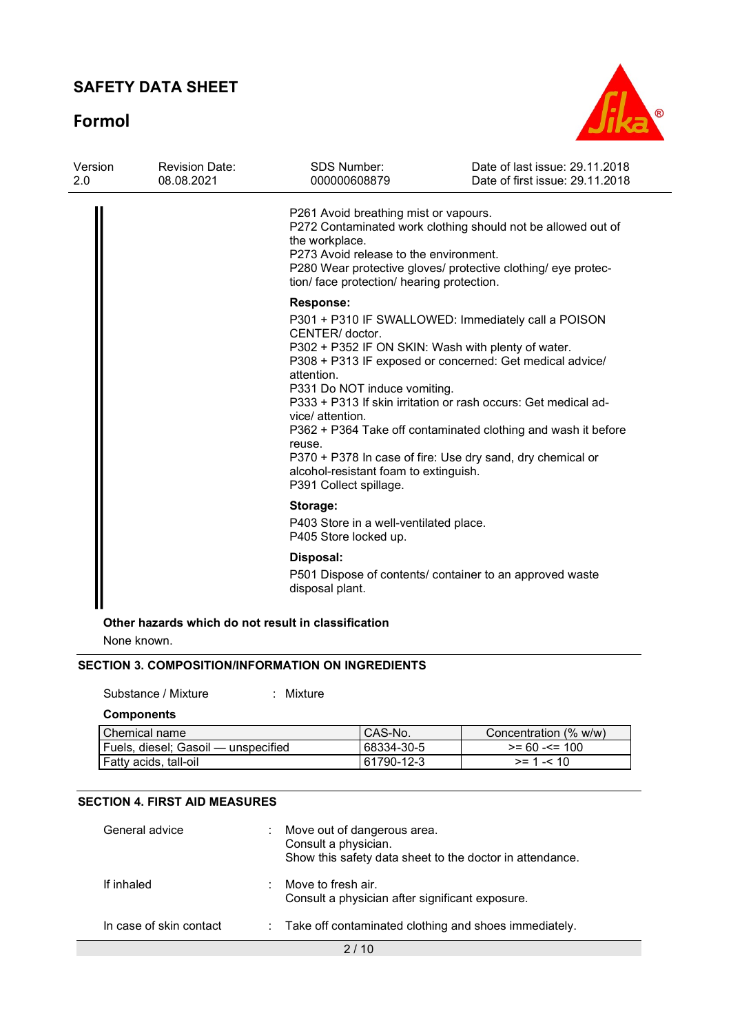Formol



|  | P261 Avoid breathing mist or vapours.<br>the workplace.<br>P273 Avoid release to the environment.<br>tion/ face protection/ hearing protection.                | P272 Contaminated work clothing should not be allowed out of<br>P280 Wear protective gloves/ protective clothing/ eye protec-                                                                                                                                                                                                                                          |  |  |  |
|--|----------------------------------------------------------------------------------------------------------------------------------------------------------------|------------------------------------------------------------------------------------------------------------------------------------------------------------------------------------------------------------------------------------------------------------------------------------------------------------------------------------------------------------------------|--|--|--|
|  | <b>Response:</b>                                                                                                                                               |                                                                                                                                                                                                                                                                                                                                                                        |  |  |  |
|  | CENTER/ doctor.<br>attention.<br>P331 Do NOT induce vomiting.<br>vice/ attention.<br>reuse.<br>alcohol-resistant foam to extinguish.<br>P391 Collect spillage. | P301 + P310 IF SWALLOWED: Immediately call a POISON<br>P302 + P352 IF ON SKIN: Wash with plenty of water.<br>P308 + P313 IF exposed or concerned: Get medical advice/<br>P333 + P313 If skin irritation or rash occurs: Get medical ad-<br>P362 + P364 Take off contaminated clothing and wash it before<br>P370 + P378 In case of fire: Use dry sand, dry chemical or |  |  |  |
|  | Storage:<br>P403 Store in a well-ventilated place.<br>P405 Store locked up.                                                                                    |                                                                                                                                                                                                                                                                                                                                                                        |  |  |  |
|  |                                                                                                                                                                |                                                                                                                                                                                                                                                                                                                                                                        |  |  |  |
|  | disposal plant.                                                                                                                                                | P501 Dispose of contents/ container to an approved waste                                                                                                                                                                                                                                                                                                               |  |  |  |
|  |                                                                                                                                                                | Disposal:                                                                                                                                                                                                                                                                                                                                                              |  |  |  |

None known.

#### SECTION 3. COMPOSITION/INFORMATION ON INGREDIENTS

Substance / Mixture : Mixture

**Components** 

| Chemical name                       | <sup>1</sup> CAS-No. | Concentration (% w/w) |
|-------------------------------------|----------------------|-----------------------|
| Fuels, diesel: Gasoil — unspecified | 68334-30-5           | $>= 60 - 5 = 100$     |
| Fatty acids, tall-oil               | 61790-12-3           | $>= 1 - 10$           |

#### SECTION 4. FIRST AID MEASURES

| General advice          | Move out of dangerous area.<br>Consult a physician.<br>Show this safety data sheet to the doctor in attendance. |
|-------------------------|-----------------------------------------------------------------------------------------------------------------|
| If inhaled              | Move to fresh air.<br>Consult a physician after significant exposure.                                           |
| In case of skin contact | : Take off contaminated clothing and shoes immediately.                                                         |
|                         | $\sim$ $\sim$                                                                                                   |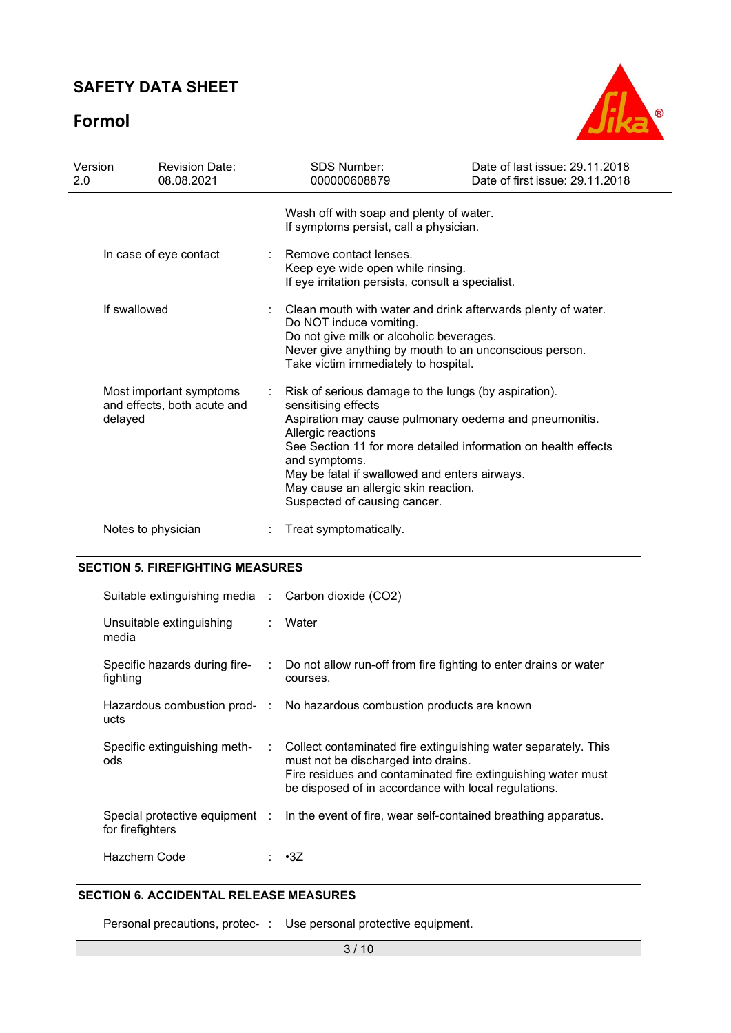# Formol



| Version<br>2.0 | <b>Revision Date:</b><br>08.08.2021                               | <b>SDS Number:</b><br>000000608879                                                                                                                                                                                                                                                                                                                                      | Date of last issue: 29.11.2018<br>Date of first issue: 29.11.2018 |
|----------------|-------------------------------------------------------------------|-------------------------------------------------------------------------------------------------------------------------------------------------------------------------------------------------------------------------------------------------------------------------------------------------------------------------------------------------------------------------|-------------------------------------------------------------------|
|                |                                                                   | Wash off with soap and plenty of water.<br>If symptoms persist, call a physician.                                                                                                                                                                                                                                                                                       |                                                                   |
|                | In case of eye contact                                            | Remove contact lenses.<br>Keep eye wide open while rinsing.<br>If eye irritation persists, consult a specialist.                                                                                                                                                                                                                                                        |                                                                   |
|                | If swallowed                                                      | Clean mouth with water and drink afterwards plenty of water.<br>Do NOT induce vomiting.<br>Do not give milk or alcoholic beverages.<br>Never give anything by mouth to an unconscious person.<br>Take victim immediately to hospital.                                                                                                                                   |                                                                   |
|                | Most important symptoms<br>and effects, both acute and<br>delayed | Risk of serious damage to the lungs (by aspiration).<br>sensitising effects<br>Aspiration may cause pulmonary oedema and pneumonitis.<br>Allergic reactions<br>See Section 11 for more detailed information on health effects<br>and symptoms.<br>May be fatal if swallowed and enters airways.<br>May cause an allergic skin reaction.<br>Suspected of causing cancer. |                                                                   |
|                | Notes to physician                                                | Treat symptomatically.                                                                                                                                                                                                                                                                                                                                                  |                                                                   |

#### SECTION 5. FIREFIGHTING MEASURES

| Suitable extinguishing media : Carbon dioxide (CO2) |                           |                                                                                                                                                                                                                               |
|-----------------------------------------------------|---------------------------|-------------------------------------------------------------------------------------------------------------------------------------------------------------------------------------------------------------------------------|
| Unsuitable extinguishing<br>media                   | $\mathcal{L}$             | Water                                                                                                                                                                                                                         |
| Specific hazards during fire-<br>fighting           |                           | $\therefore$ Do not allow run-off from fire fighting to enter drains or water<br>courses.                                                                                                                                     |
| ucts                                                |                           | Hazardous combustion prod- : No hazardous combustion products are known                                                                                                                                                       |
| Specific extinguishing meth-<br>ods                 | $\mathbb{R}^{\mathbb{Z}}$ | Collect contaminated fire extinguishing water separately. This<br>must not be discharged into drains.<br>Fire residues and contaminated fire extinguishing water must<br>be disposed of in accordance with local regulations. |
| for firefighters                                    |                           | Special protective equipment : ln the event of fire, wear self-contained breathing apparatus.                                                                                                                                 |
| Hazchem Code                                        |                           | : •3Z                                                                                                                                                                                                                         |

### SECTION 6. ACCIDENTAL RELEASE MEASURES

Personal precautions, protec- : Use personal protective equipment.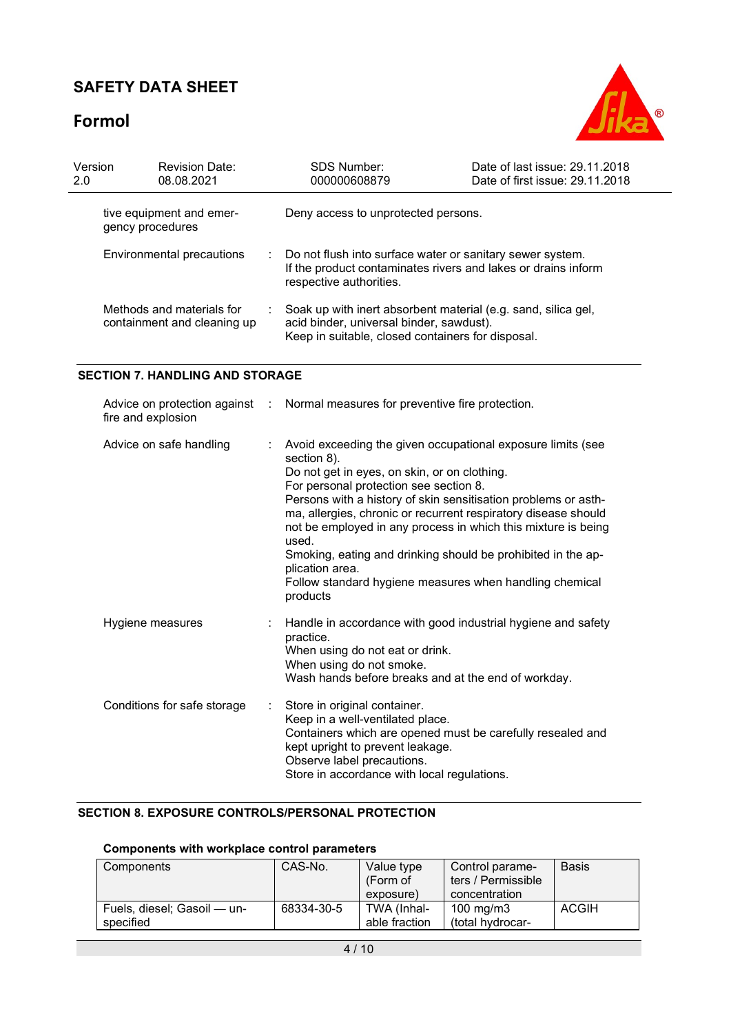# Formol



| Version<br>2.0 | <b>Revision Date:</b><br>08.08.2021                      |                      | SDS Number:<br>000000608879                                                                                                                                                                                                                                                                                                                                                                                                                                                                                                                  | Date of last issue: 29.11.2018<br>Date of first issue: 29.11.2018 |
|----------------|----------------------------------------------------------|----------------------|----------------------------------------------------------------------------------------------------------------------------------------------------------------------------------------------------------------------------------------------------------------------------------------------------------------------------------------------------------------------------------------------------------------------------------------------------------------------------------------------------------------------------------------------|-------------------------------------------------------------------|
|                | tive equipment and emer-<br>gency procedures             |                      | Deny access to unprotected persons.                                                                                                                                                                                                                                                                                                                                                                                                                                                                                                          |                                                                   |
|                | Environmental precautions                                |                      | Do not flush into surface water or sanitary sewer system.<br>If the product contaminates rivers and lakes or drains inform<br>respective authorities.                                                                                                                                                                                                                                                                                                                                                                                        |                                                                   |
|                | Methods and materials for<br>containment and cleaning up |                      | Soak up with inert absorbent material (e.g. sand, silica gel,<br>acid binder, universal binder, sawdust).<br>Keep in suitable, closed containers for disposal.                                                                                                                                                                                                                                                                                                                                                                               |                                                                   |
|                | <b>SECTION 7. HANDLING AND STORAGE</b>                   |                      |                                                                                                                                                                                                                                                                                                                                                                                                                                                                                                                                              |                                                                   |
|                | Advice on protection against<br>fire and explosion       | $\ddot{\phantom{a}}$ | Normal measures for preventive fire protection.                                                                                                                                                                                                                                                                                                                                                                                                                                                                                              |                                                                   |
|                | Advice on safe handling                                  |                      | Avoid exceeding the given occupational exposure limits (see<br>section 8).<br>Do not get in eyes, on skin, or on clothing.<br>For personal protection see section 8.<br>Persons with a history of skin sensitisation problems or asth-<br>ma, allergies, chronic or recurrent respiratory disease should<br>not be employed in any process in which this mixture is being<br>used.<br>Smoking, eating and drinking should be prohibited in the ap-<br>plication area.<br>Follow standard hygiene measures when handling chemical<br>products |                                                                   |
|                | Hygiene measures                                         |                      | Handle in accordance with good industrial hygiene and safety<br>practice.<br>When using do not eat or drink.<br>When using do not smoke.<br>Wash hands before breaks and at the end of workday.                                                                                                                                                                                                                                                                                                                                              |                                                                   |
|                | Conditions for safe storage                              |                      | Store in original container.<br>Keep in a well-ventilated place.<br>Containers which are opened must be carefully resealed and<br>kept upright to prevent leakage.<br>Observe label precautions.<br>Store in accordance with local regulations.                                                                                                                                                                                                                                                                                              |                                                                   |

### SECTION 8. EXPOSURE CONTROLS/PERSONAL PROTECTION

### Components with workplace control parameters

| Components                               | CAS-No.    | Value type<br>(Form of<br>exposure) | Control parame-<br>ters / Permissible<br>concentration | <b>Basis</b> |
|------------------------------------------|------------|-------------------------------------|--------------------------------------------------------|--------------|
| Fuels, diesel; Gasoil — un-<br>specified | 68334-30-5 | TWA (Inhal-<br>able fraction        | 100 mg/m $3$<br>total hydrocar-                        | ACGIH        |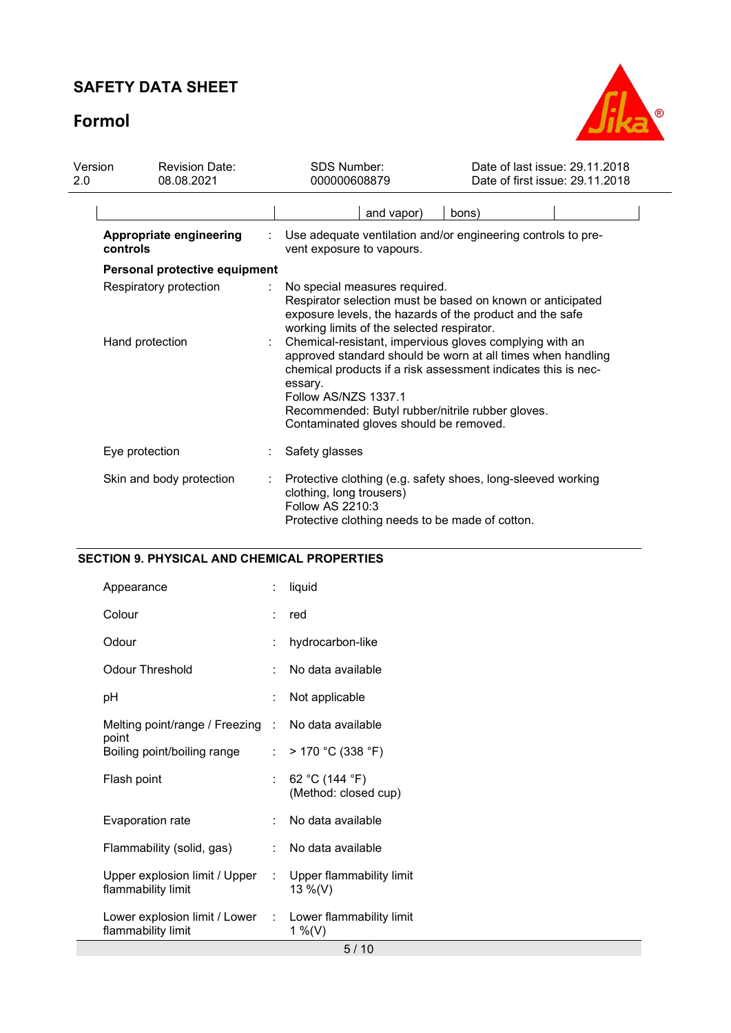# Formol



| Version<br>2.0 | <b>Revision Date:</b><br>08.08.2021 | <b>SDS Number:</b><br>000000608879 |                                                                                                                                                                                                                                                                                                                          |  |       | Date of last issue: 29.11.2018<br>Date of first issue: 29.11.2018 |
|----------------|-------------------------------------|------------------------------------|--------------------------------------------------------------------------------------------------------------------------------------------------------------------------------------------------------------------------------------------------------------------------------------------------------------------------|--|-------|-------------------------------------------------------------------|
|                |                                     |                                    | and vapor)                                                                                                                                                                                                                                                                                                               |  | bons) |                                                                   |
|                | Appropriate engineering<br>controls |                                    | Use adequate ventilation and/or engineering controls to pre-<br>vent exposure to vapours.                                                                                                                                                                                                                                |  |       |                                                                   |
|                | Personal protective equipment       |                                    |                                                                                                                                                                                                                                                                                                                          |  |       |                                                                   |
|                | Respiratory protection              |                                    | No special measures required.<br>Respirator selection must be based on known or anticipated<br>exposure levels, the hazards of the product and the safe<br>working limits of the selected respirator.                                                                                                                    |  |       |                                                                   |
|                | Hand protection                     |                                    | Chemical-resistant, impervious gloves complying with an<br>approved standard should be worn at all times when handling<br>chemical products if a risk assessment indicates this is nec-<br>essary.<br>Follow AS/NZS 1337.1<br>Recommended: Butyl rubber/nitrile rubber gloves.<br>Contaminated gloves should be removed. |  |       |                                                                   |
|                | Eye protection                      |                                    | Safety glasses                                                                                                                                                                                                                                                                                                           |  |       |                                                                   |
|                | Skin and body protection            |                                    | Protective clothing (e.g. safety shoes, long-sleeved working<br>clothing, long trousers)<br>Follow AS 2210:3<br>Protective clothing needs to be made of cotton.                                                                                                                                                          |  |       |                                                                   |

### SECTION 9. PHYSICAL AND CHEMICAL PROPERTIES

| Appearance                                                                     | ÷                    | liquid                                 |
|--------------------------------------------------------------------------------|----------------------|----------------------------------------|
| Colour                                                                         | ÷                    | red                                    |
| Odour                                                                          | $\ddot{\phantom{a}}$ | hydrocarbon-like                       |
| <b>Odour Threshold</b>                                                         |                      | No data available                      |
| рH                                                                             |                      | Not applicable                         |
| Melting point/range / Freezing : No data available                             |                      |                                        |
| point<br>Boiling point/boiling range                                           |                      | : $>170$ °C (338 °F)                   |
| Flash point                                                                    | t.                   | 62 °C (144 °F)<br>(Method: closed cup) |
| Evaporation rate                                                               | ۰.                   | No data available                      |
| Flammability (solid, gas)                                                      | t.                   | No data available                      |
| Upper explosion limit / Upper :<br>flammability limit                          |                      | Upper flammability limit<br>13 %(V)    |
| Lower explosion limit / Lower : Lower flammability limit<br>flammability limit |                      | 1 %(V)                                 |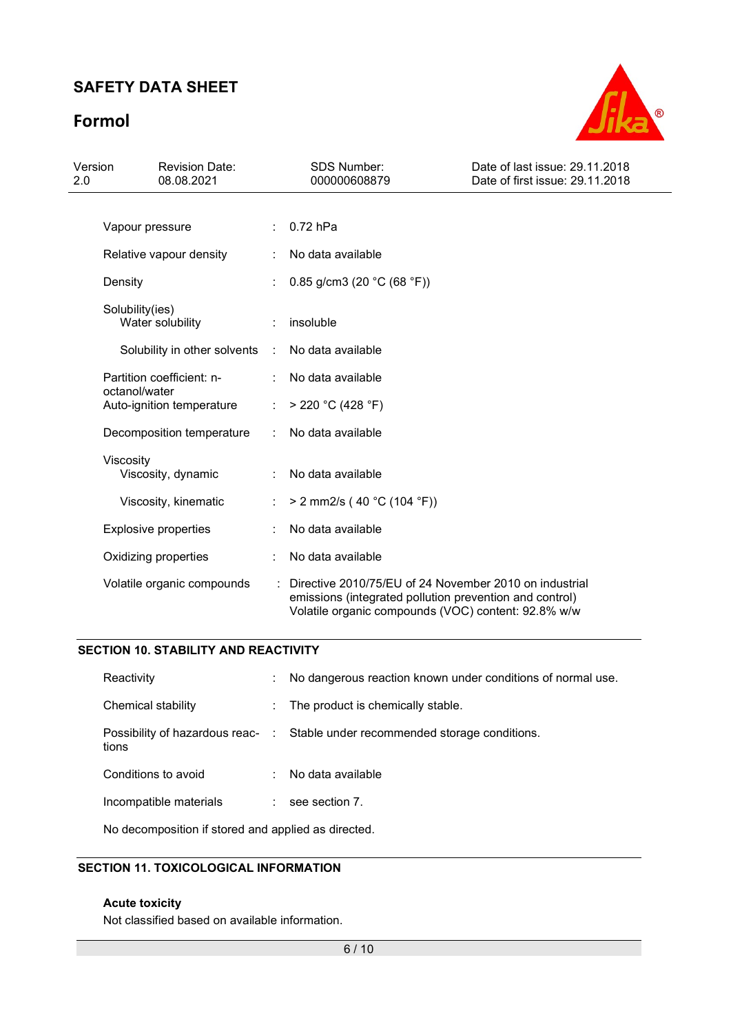# Formol



| Version<br>2.0 |                                     | <b>Revision Date:</b><br>08.08.2021 |   | <b>SDS Number:</b><br>000000608879                                                                                                                                       | Date of last issue: 29.11.2018<br>Date of first issue: 29.11.2018 |
|----------------|-------------------------------------|-------------------------------------|---|--------------------------------------------------------------------------------------------------------------------------------------------------------------------------|-------------------------------------------------------------------|
|                |                                     |                                     |   |                                                                                                                                                                          |                                                                   |
|                | Vapour pressure                     |                                     |   | $0.72$ hPa                                                                                                                                                               |                                                                   |
|                |                                     | Relative vapour density             |   | No data available                                                                                                                                                        |                                                                   |
|                | Density                             |                                     |   | 0.85 g/cm3 (20 $°C$ (68 °F))                                                                                                                                             |                                                                   |
|                | Solubility(ies)<br>Water solubility |                                     |   | insoluble                                                                                                                                                                |                                                                   |
|                |                                     | Solubility in other solvents        | ÷ | No data available                                                                                                                                                        |                                                                   |
|                |                                     | Partition coefficient: n-           |   | No data available                                                                                                                                                        |                                                                   |
|                | octanol/water                       | Auto-ignition temperature           | ÷ | > 220 °C (428 °F)                                                                                                                                                        |                                                                   |
|                |                                     | Decomposition temperature           |   | No data available                                                                                                                                                        |                                                                   |
|                | Viscosity                           | Viscosity, dynamic                  |   | No data available                                                                                                                                                        |                                                                   |
|                |                                     | Viscosity, kinematic                |   | > 2 mm2/s (40 °C (104 °F))                                                                                                                                               |                                                                   |
|                |                                     | <b>Explosive properties</b>         |   | No data available                                                                                                                                                        |                                                                   |
|                |                                     | Oxidizing properties                |   | No data available                                                                                                                                                        |                                                                   |
|                |                                     | Volatile organic compounds          |   | Directive 2010/75/EU of 24 November 2010 on industrial<br>emissions (integrated pollution prevention and control)<br>Volatile organic compounds (VOC) content: 92.8% w/w |                                                                   |

#### SECTION 10. STABILITY AND REACTIVITY

| Reactivity             | No dangerous reaction known under conditions of normal use.                   |
|------------------------|-------------------------------------------------------------------------------|
| Chemical stability     | : The product is chemically stable.                                           |
| tions                  | Possibility of hazardous reac- : Stable under recommended storage conditions. |
| Conditions to avoid    | : No data available                                                           |
| Incompatible materials | see section 7.                                                                |

No decomposition if stored and applied as directed.

### SECTION 11. TOXICOLOGICAL INFORMATION

#### Acute toxicity

Not classified based on available information.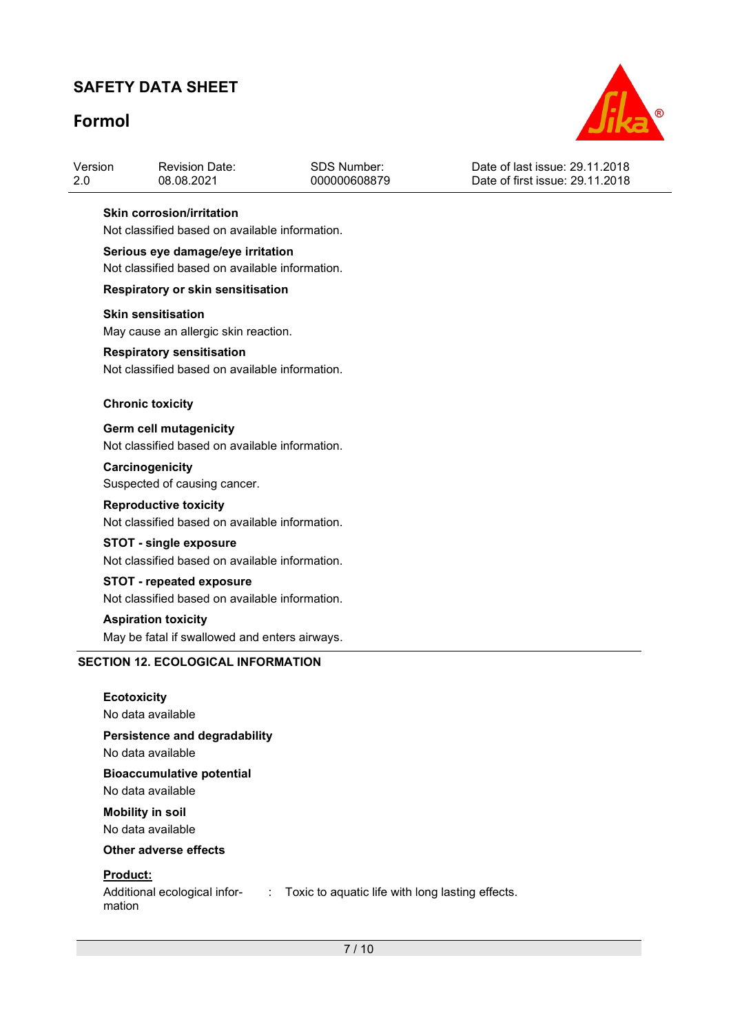# Formol



| Version | <b>Revision Date:</b> | SDS Number:  | Date of last issue: 29.11.2018  |
|---------|-----------------------|--------------|---------------------------------|
| -2.0    | 08.08.2021            | 000000608879 | Date of first issue: 29.11.2018 |

#### Skin corrosion/irritation

Not classified based on available information.

#### Serious eye damage/eye irritation

Not classified based on available information.

#### Respiratory or skin sensitisation

#### Skin sensitisation

May cause an allergic skin reaction.

#### Respiratory sensitisation

Not classified based on available information.

#### Chronic toxicity

Germ cell mutagenicity Not classified based on available information.

#### **Carcinogenicity**

Suspected of causing cancer.

#### Reproductive toxicity

Not classified based on available information.

# STOT - single exposure

Not classified based on available information.

#### STOT - repeated exposure Not classified based on available information.

Aspiration toxicity

May be fatal if swallowed and enters airways.

#### SECTION 12. ECOLOGICAL INFORMATION

| <b>Ecotoxicity</b><br>No data available               |
|-------------------------------------------------------|
| Persistence and degradability<br>No data available    |
| <b>Bioaccumulative potential</b><br>No data available |
| <b>Mobility in soil</b><br>No data available          |
| Other adverse effects                                 |
| Dradust:                                              |

: Toxic to aquatic life with long lasting effects.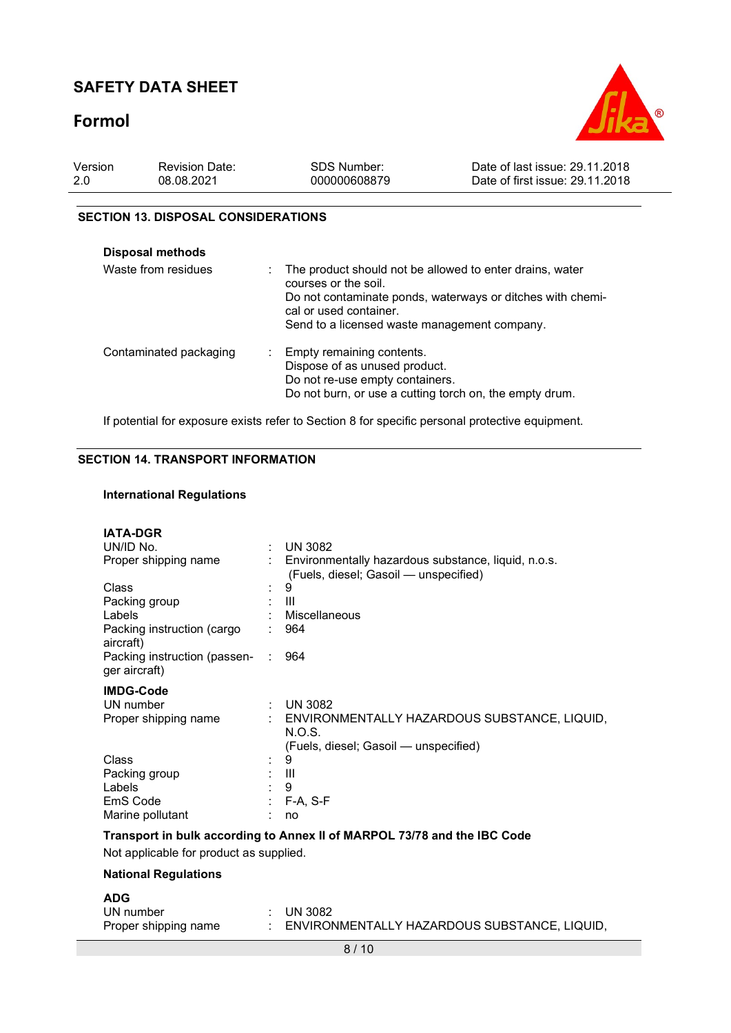# Formol



| Version | <b>Revision Date:</b> | <b>SDS Number:</b> | Date of last issue: 29.11.2018  |
|---------|-----------------------|--------------------|---------------------------------|
| -2.0    | 08.08.2021            | 000000608879       | Date of first issue: 29.11.2018 |

#### SECTION 13. DISPOSAL CONSIDERATIONS

| Disposal methods       |                                                                                                                                                                                                                          |
|------------------------|--------------------------------------------------------------------------------------------------------------------------------------------------------------------------------------------------------------------------|
| Waste from residues    | The product should not be allowed to enter drains, water<br>courses or the soil.<br>Do not contaminate ponds, waterways or ditches with chemi-<br>cal or used container.<br>Send to a licensed waste management company. |
| Contaminated packaging | : Empty remaining contents.<br>Dispose of as unused product.<br>Do not re-use empty containers.<br>Do not burn, or use a cutting torch on, the empty drum.                                                               |

If potential for exposure exists refer to Section 8 for specific personal protective equipment.

#### SECTION 14. TRANSPORT INFORMATION

#### International Regulations

| <b>IATA-DGR</b>                                                          |                               |                                                                                                |  |  |  |  |
|--------------------------------------------------------------------------|-------------------------------|------------------------------------------------------------------------------------------------|--|--|--|--|
| UN/ID No.                                                                | ÷.                            | <b>UN 3082</b>                                                                                 |  |  |  |  |
| Proper shipping name                                                     |                               | : Environmentally hazardous substance, liquid, n.o.s.<br>(Fuels, diesel; Gasoil - unspecified) |  |  |  |  |
| Class                                                                    |                               | 9                                                                                              |  |  |  |  |
| Packing group                                                            |                               | Ш                                                                                              |  |  |  |  |
| Labels                                                                   |                               | Miscellaneous                                                                                  |  |  |  |  |
| Packing instruction (cargo<br>aircraft)                                  |                               | 964                                                                                            |  |  |  |  |
| Packing instruction (passen-<br>ger aircraft)                            | $\mathcal{I}^{\mathcal{I}}$ . | 964                                                                                            |  |  |  |  |
| <b>IMDG-Code</b>                                                         |                               |                                                                                                |  |  |  |  |
| UN number                                                                |                               | $\therefore$ UN 3082                                                                           |  |  |  |  |
| Proper shipping name                                                     |                               | ENVIRONMENTALLY HAZARDOUS SUBSTANCE, LIQUID,<br>N.O.S.                                         |  |  |  |  |
|                                                                          |                               | (Fuels, diesel; Gasoil - unspecified)                                                          |  |  |  |  |
| Class                                                                    |                               | 9                                                                                              |  |  |  |  |
| Packing group                                                            |                               | Ш                                                                                              |  |  |  |  |
| Labels                                                                   |                               | 9                                                                                              |  |  |  |  |
| EmS Code                                                                 |                               | $F-A, S-F$                                                                                     |  |  |  |  |
| Marine pollutant                                                         |                               | no                                                                                             |  |  |  |  |
| Transport in bulk according to Annex II of MARPOL 73/78 and the IBC Code |                               |                                                                                                |  |  |  |  |
| Not applicable for product as supplied.                                  |                               |                                                                                                |  |  |  |  |
| <b>National Regulations</b>                                              |                               |                                                                                                |  |  |  |  |
| <b>ADG</b>                                                               |                               |                                                                                                |  |  |  |  |
| UN number                                                                |                               | <b>UN 3082</b>                                                                                 |  |  |  |  |
| Proper shipping name                                                     |                               | ENVIRONMENTALLY HAZARDOUS SUBSTANCE, LIQUID,                                                   |  |  |  |  |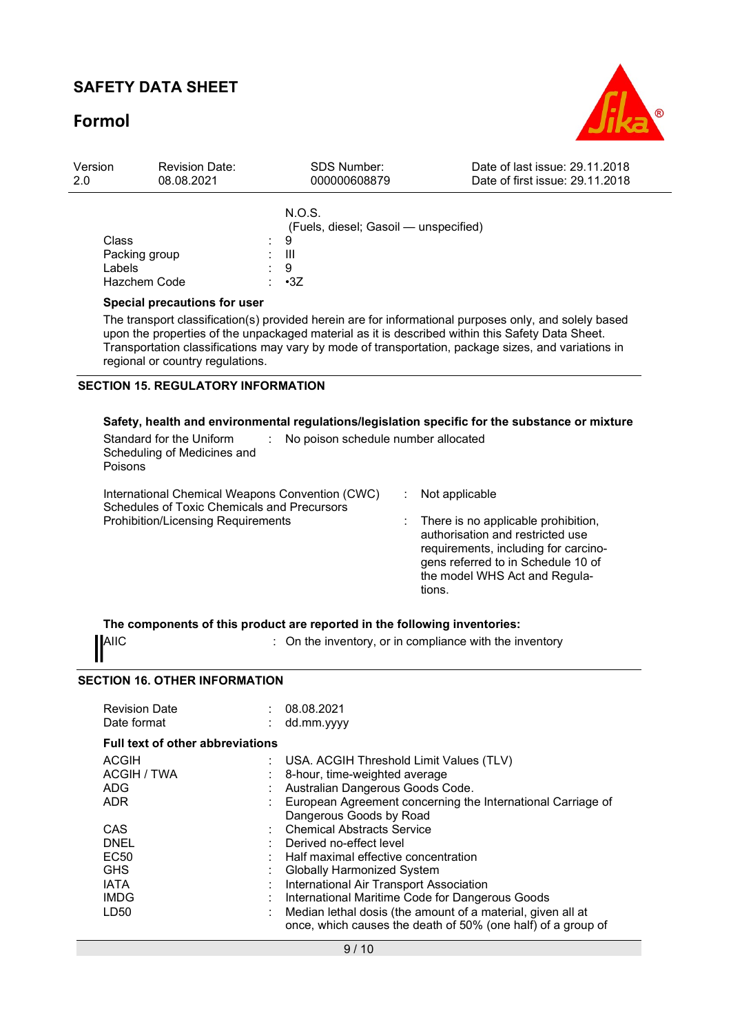## Formol



| Version<br>2.0                                                                                                                                                                                                                                                                                                                                                                       |                                                                                                                                                                                                                                                               | <b>Revision Date:</b><br>08.08.2021                                                                                                                                                                                                                                                                                                                                                                                                |                                | <b>SDS Number:</b><br>000000608879                      |                          | Date of last issue: 29.11.2018<br>Date of first issue: 29.11.2018                                                                                                                      |  |
|--------------------------------------------------------------------------------------------------------------------------------------------------------------------------------------------------------------------------------------------------------------------------------------------------------------------------------------------------------------------------------------|---------------------------------------------------------------------------------------------------------------------------------------------------------------------------------------------------------------------------------------------------------------|------------------------------------------------------------------------------------------------------------------------------------------------------------------------------------------------------------------------------------------------------------------------------------------------------------------------------------------------------------------------------------------------------------------------------------|--------------------------------|---------------------------------------------------------|--------------------------|----------------------------------------------------------------------------------------------------------------------------------------------------------------------------------------|--|
|                                                                                                                                                                                                                                                                                                                                                                                      | Class<br>Packing group<br>Labels<br>Hazchem Code                                                                                                                                                                                                              |                                                                                                                                                                                                                                                                                                                                                                                                                                    | N.O.S.<br>9<br>Ш<br>9<br>$-3Z$ | (Fuels, diesel; Gasoil - unspecified)                   |                          |                                                                                                                                                                                        |  |
| Special precautions for user<br>The transport classification(s) provided herein are for informational purposes only, and solely based<br>upon the properties of the unpackaged material as it is described within this Safety Data Sheet.<br>Transportation classifications may vary by mode of transportation, package sizes, and variations in<br>regional or country regulations. |                                                                                                                                                                                                                                                               |                                                                                                                                                                                                                                                                                                                                                                                                                                    |                                |                                                         |                          |                                                                                                                                                                                        |  |
|                                                                                                                                                                                                                                                                                                                                                                                      | <b>SECTION 15. REGULATORY INFORMATION</b><br>Safety, health and environmental regulations/legislation specific for the substance or mixture<br>Standard for the Uniform<br>No poison schedule number allocated<br>÷<br>Scheduling of Medicines and<br>Poisons |                                                                                                                                                                                                                                                                                                                                                                                                                                    |                                |                                                         |                          |                                                                                                                                                                                        |  |
|                                                                                                                                                                                                                                                                                                                                                                                      | International Chemical Weapons Convention (CWC)<br>Schedules of Toxic Chemicals and Precursors<br><b>Prohibition/Licensing Requirements</b>                                                                                                                   |                                                                                                                                                                                                                                                                                                                                                                                                                                    |                                |                                                         | Not applicable<br>tions. | There is no applicable prohibition,<br>authorisation and restricted use<br>requirements, including for carcino-<br>gens referred to in Schedule 10 of<br>the model WHS Act and Regula- |  |
|                                                                                                                                                                                                                                                                                                                                                                                      | <b>AIIC</b>                                                                                                                                                                                                                                                   | The components of this product are reported in the following inventories:                                                                                                                                                                                                                                                                                                                                                          |                                | : On the inventory, or in compliance with the inventory |                          |                                                                                                                                                                                        |  |
|                                                                                                                                                                                                                                                                                                                                                                                      | <b>Revision Date</b>                                                                                                                                                                                                                                          | <b>SECTION 16. OTHER INFORMATION</b>                                                                                                                                                                                                                                                                                                                                                                                               |                                | 08.08.2021                                              |                          |                                                                                                                                                                                        |  |
|                                                                                                                                                                                                                                                                                                                                                                                      | Date format                                                                                                                                                                                                                                                   |                                                                                                                                                                                                                                                                                                                                                                                                                                    |                                | dd.mm.yyyy                                              |                          |                                                                                                                                                                                        |  |
|                                                                                                                                                                                                                                                                                                                                                                                      | <b>ACGIH</b><br><b>ACGIH / TWA</b><br>ADG<br><b>ADR</b><br>CAS<br><b>DNEL</b><br><b>EC50</b><br><b>GHS</b><br><b>IATA</b>                                                                                                                                     | <b>Full text of other abbreviations</b><br>USA. ACGIH Threshold Limit Values (TLV)<br>8-hour, time-weighted average<br>Australian Dangerous Goods Code.<br>European Agreement concerning the International Carriage of<br>Dangerous Goods by Road<br><b>Chemical Abstracts Service</b><br>Derived no-effect level<br>Half maximal effective concentration<br>Globally Harmonized System<br>International Air Transport Association |                                |                                                         |                          |                                                                                                                                                                                        |  |
|                                                                                                                                                                                                                                                                                                                                                                                      | <b>IMDG</b>                                                                                                                                                                                                                                                   |                                                                                                                                                                                                                                                                                                                                                                                                                                    |                                | International Maritime Code for Dangerous Goods         |                          |                                                                                                                                                                                        |  |

LD50 : Median lethal dosis (the amount of a material, given all at once, which causes the death of 50% (one half) of a group of